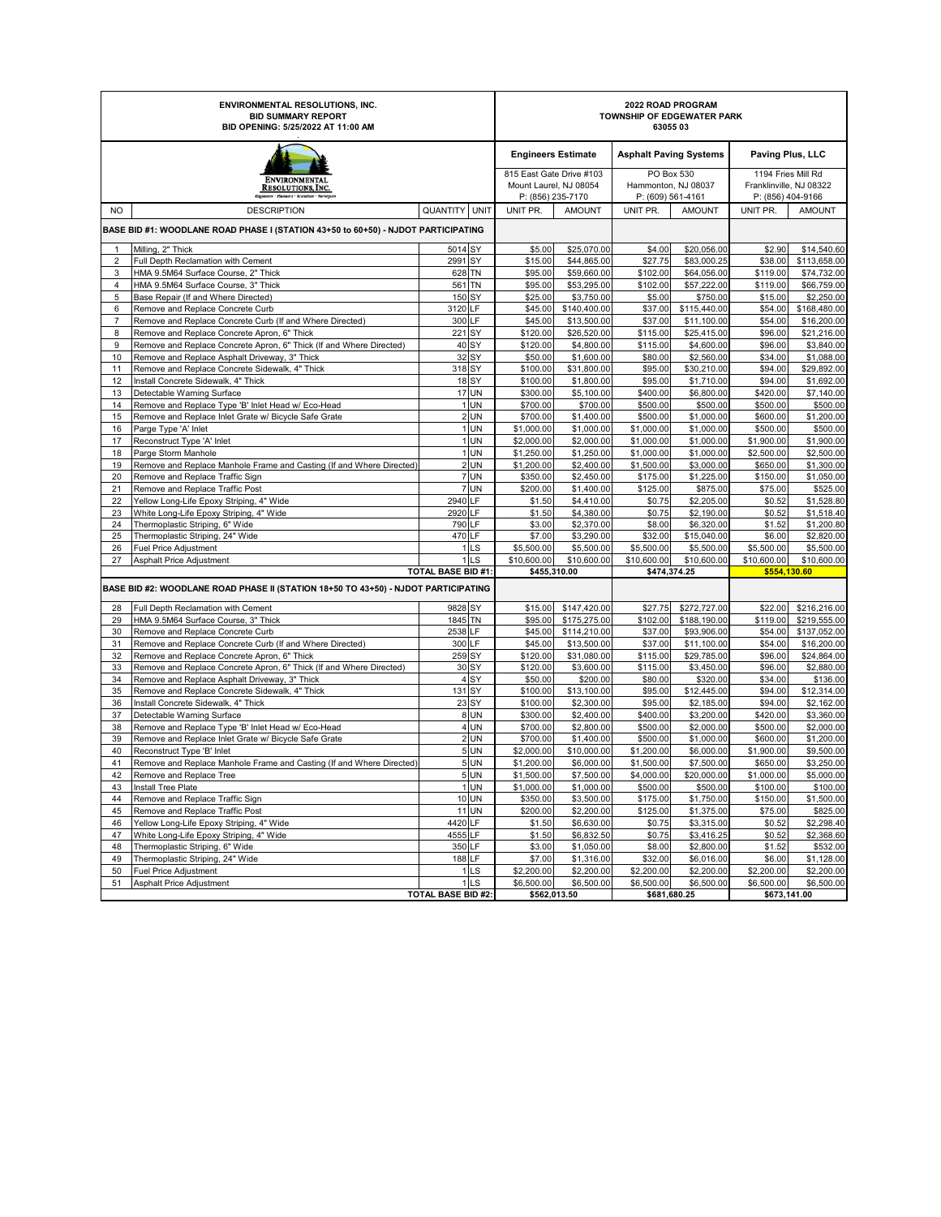| <b>ENVIRONMENTAL RESOLUTIONS, INC.</b><br><b>BID SUMMARY REPORT</b><br>BID OPENING: 5/25/2022 AT 11:00 AM |                                                                                       |                      |                                    | 2022 ROAD PROGRAM<br>TOWNSHIP OF EDGEWATER PARK<br>6305503 |                                                                         |                               |                                                        |                             |                                                                    |  |
|-----------------------------------------------------------------------------------------------------------|---------------------------------------------------------------------------------------|----------------------|------------------------------------|------------------------------------------------------------|-------------------------------------------------------------------------|-------------------------------|--------------------------------------------------------|-----------------------------|--------------------------------------------------------------------|--|
|                                                                                                           |                                                                                       |                      |                                    |                                                            | <b>Engineers Estimate</b>                                               | <b>Asphalt Paving Systems</b> |                                                        | Paving Plus, LLC            |                                                                    |  |
| ENVIRONMENTAL<br><b>RESOLUTIONS, INC.</b><br>eers · Flanners · Scientists · Sarves                        |                                                                                       |                      |                                    |                                                            | 815 East Gate Drive #103<br>Mount Laurel, NJ 08054<br>P: (856) 235-7170 |                               | PO Box 530<br>Hammonton, NJ 08037<br>P: (609) 561-4161 |                             | 1194 Fries Mill Rd<br>Franklinville, NJ 08322<br>P: (856) 404-9166 |  |
| <b>NO</b>                                                                                                 | <b>DESCRIPTION</b>                                                                    | <b>QUANTITY UNIT</b> |                                    | UNIT PR.                                                   | <b>AMOUNT</b>                                                           | UNIT PR.                      | <b>AMOUNT</b>                                          | UNIT PR.                    | <b>AMOUNT</b>                                                      |  |
|                                                                                                           | BASE BID #1: WOODLANE ROAD PHASE I (STATION 43+50 to 60+50) - NJDOT PARTICIPATING     |                      |                                    |                                                            |                                                                         |                               |                                                        |                             |                                                                    |  |
| $\mathbf{1}$                                                                                              | Milling, 2" Thick                                                                     | 5014 SY              |                                    | \$5.00                                                     | \$25,070.00                                                             | \$4.00                        | \$20,056.00                                            | \$2.90                      | \$14,540.60                                                        |  |
| $\overline{2}$                                                                                            | Full Depth Reclamation with Cement                                                    | 2991 SY              |                                    | \$15.00                                                    | \$44,865.00                                                             | \$27.75                       | \$83,000.25                                            | \$38.00                     | \$113,658.00                                                       |  |
| 3                                                                                                         | HMA 9.5M64 Surface Course, 2" Thick                                                   | 628 TN               |                                    | \$95.00                                                    | \$59,660.00                                                             | \$102.00                      | \$64,056.00                                            | \$119.00                    | \$74,732.00                                                        |  |
| $\overline{4}$                                                                                            | HMA 9.5M64 Surface Course, 3" Thick                                                   | 561 TN               |                                    | \$95.00                                                    | \$53,295.00                                                             | \$102.00                      | \$57,222.00                                            | \$119.00                    | \$66,759.00                                                        |  |
| 5                                                                                                         | Base Repair (If and Where Directed)                                                   | 150 SY               |                                    | \$25.00                                                    | \$3,750.00                                                              | \$5.00                        | \$750.00                                               | \$15.00                     | \$2,250.00                                                         |  |
| 6                                                                                                         | Remove and Replace Concrete Curb                                                      | 3120 LF              |                                    | \$45.00                                                    | \$140,400.00                                                            | \$37.00                       | \$115,440.00                                           | \$54.00                     | \$168,480.00                                                       |  |
| $\overline{7}$                                                                                            | Remove and Replace Concrete Curb (If and Where Directed)                              | 300 LF               |                                    | \$45.00                                                    | \$13,500.00                                                             | \$37.00                       | \$11,100.00                                            | \$54.00                     | \$16,200.00                                                        |  |
| 8                                                                                                         | Remove and Replace Concrete Apron, 6" Thick                                           | 221 SY               |                                    | \$120.00                                                   | \$26,520.00                                                             | \$115.00                      | \$25,415.00                                            | \$96.00                     | \$21,216.00                                                        |  |
| 9                                                                                                         | Remove and Replace Concrete Apron, 6" Thick (If and Where Directed)                   |                      | 40 SY<br>32 SY                     | \$120.00                                                   | \$4,800.00                                                              | \$115.00                      | \$4,600.00                                             | \$96.00                     | \$3,840.00                                                         |  |
| 10<br>11                                                                                                  | Remove and Replace Asphalt Driveway, 3" Thick                                         | 318 SY               |                                    | \$50.00                                                    | \$1,600.00<br>\$31,800.00                                               | \$80.00                       | \$2,560.00                                             | \$34.00<br>\$94.00          | \$1,088.00<br>\$29,892.00                                          |  |
| 12                                                                                                        | Remove and Replace Concrete Sidewalk, 4" Thick<br>Install Concrete Sidewalk, 4" Thick |                      | <b>18 SY</b>                       | \$100.00<br>\$100.00                                       | \$1,800.00                                                              | \$95.00<br>\$95.00            | \$30,210.00<br>\$1,710.00                              | \$94.00                     | \$1,692.00                                                         |  |
| 13                                                                                                        | Detectable Warning Surface                                                            |                      | <b>17 UN</b>                       | \$300.00                                                   | \$5,100.00                                                              | \$400.00                      | \$6,800.00                                             | \$420.00                    | \$7,140.00                                                         |  |
| 14                                                                                                        | Remove and Replace Type 'B' Inlet Head w/ Eco-Head                                    |                      | 1 UN                               | \$700.00                                                   | \$700.00                                                                | \$500.00                      | \$500.00                                               | \$500.00                    | \$500.00                                                           |  |
| 15                                                                                                        | Remove and Replace Inlet Grate w/ Bicycle Safe Grate                                  |                      | 2 UN                               | \$700.00                                                   | \$1,400.00                                                              | \$500.00                      | \$1,000.00                                             | \$600.00                    | \$1,200.00                                                         |  |
| 16                                                                                                        | Parge Type 'A' Inlet                                                                  |                      | 1 UN                               | \$1,000.00                                                 | \$1,000.00                                                              | \$1,000.00                    | \$1,000.00                                             | \$500.00                    | \$500.00                                                           |  |
| 17                                                                                                        | Reconstruct Type 'A' Inlet                                                            |                      | 1UN                                | \$2,000.00                                                 | \$2,000.00                                                              | \$1,000.00                    | \$1,000.00                                             | \$1,900.00                  | \$1,900.00                                                         |  |
| 18                                                                                                        | Parge Storm Manhole                                                                   |                      | 1 UN                               | \$1,250.00                                                 | \$1,250.00                                                              | \$1,000.00                    | \$1,000.00                                             | \$2,500.00                  | \$2,500.00                                                         |  |
| 19                                                                                                        | Remove and Replace Manhole Frame and Casting (If and Where Directed)                  |                      | 2 UN                               | \$1,200.00                                                 | \$2,400.00                                                              | \$1,500.00                    | \$3,000.00                                             | \$650.00                    | \$1,300.00                                                         |  |
| 20                                                                                                        | Remove and Replace Traffic Sign                                                       |                      | 7 UN                               | \$350.00                                                   | \$2,450.00                                                              | \$175.00                      | \$1,225.00                                             | \$150.00                    | \$1,050.00                                                         |  |
| 21                                                                                                        | Remove and Replace Traffic Post                                                       |                      | 7 UN                               | \$200.00                                                   | \$1,400.00                                                              | \$125.00                      | \$875.00                                               | \$75.00                     | \$525.00                                                           |  |
| 22                                                                                                        | Yellow Long-Life Epoxy Striping, 4" Wide                                              | 2940 LF              |                                    | \$1.50                                                     | \$4,410.00                                                              | \$0.75                        | \$2,205.00                                             | \$0.52                      | \$1,528.80                                                         |  |
| 23                                                                                                        | White Long-Life Epoxy Striping, 4" Wide                                               | 2920 LF              |                                    | \$1.50                                                     | \$4,380.00                                                              | \$0.75                        | \$2,190.00                                             | \$0.52                      | \$1,518.40                                                         |  |
| 24                                                                                                        | Thermoplastic Striping, 6" Wide                                                       | 790 LF               |                                    | \$3.00                                                     | \$2,370.00                                                              | \$8.00                        | \$6,320.00                                             | \$1.52                      | \$1,200.80                                                         |  |
| 25                                                                                                        | Thermoplastic Striping, 24" Wide                                                      | 470 LF               |                                    | \$7.00                                                     | \$3,290.00                                                              | \$32.00                       | \$15,040.00                                            | \$6.00                      | \$2,820.00                                                         |  |
| 26                                                                                                        | <b>Fuel Price Adjustment</b>                                                          |                      | 1 <sub>LS</sub><br>1 <sub>LS</sub> | \$5,500.00<br>\$10,600.00                                  | \$5,500.00<br>\$10,600.00                                               | \$5,500.00<br>\$10,600.00     | \$5,500.00<br>\$10,600.00                              | \$5,500.00                  | \$5,500.00                                                         |  |
| 27                                                                                                        | Asphalt Price Adjustment                                                              | TOTAL BASE BID #1:   |                                    |                                                            | \$455,310.00                                                            |                               | \$474,374.25                                           | \$10,600.00<br>\$554,130.60 | \$10,600.00                                                        |  |
|                                                                                                           | BASE BID #2: WOODLANE ROAD PHASE II (STATION 18+50 TO 43+50) - NJDOT PARTICIPATING    |                      |                                    |                                                            |                                                                         |                               |                                                        |                             |                                                                    |  |
| 28                                                                                                        | Full Depth Reclamation with Cement                                                    | 9828 SY              |                                    | \$15.00                                                    | \$147,420.00                                                            | \$27.75                       | \$272,727.00                                           | \$22.00                     | \$216,216.00                                                       |  |
| 29                                                                                                        | HMA 9.5M64 Surface Course, 3" Thick                                                   | 1845 TN              |                                    | \$95.00                                                    | \$175,275.00                                                            | \$102.00                      | \$188,190.00                                           | \$119.00                    | \$219,555.00                                                       |  |
| 30                                                                                                        | Remove and Replace Concrete Curb                                                      | 2538 LF              |                                    | \$45.00                                                    | \$114,210.00                                                            | \$37.00                       | \$93,906.00                                            | \$54.00                     | \$137,052.00                                                       |  |
| 31                                                                                                        | Remove and Replace Concrete Curb (If and Where Directed)                              | 300 LF               |                                    | \$45.00                                                    | \$13,500.00                                                             | \$37.00                       | \$11,100.00                                            | \$54.00                     | \$16,200.00                                                        |  |
| 32                                                                                                        | Remove and Replace Concrete Apron, 6" Thick                                           | 259 SY               |                                    | \$120.00                                                   | \$31,080.00                                                             | \$115.00                      | \$29,785.00                                            | \$96.00                     | \$24,864.00                                                        |  |
| 33                                                                                                        | Remove and Replace Concrete Apron, 6" Thick (If and Where Directed)                   |                      | 30 SY                              | \$120.00                                                   | \$3,600.00                                                              | \$115.00                      | \$3,450.00                                             | \$96.00                     | \$2,880.00                                                         |  |
| 34                                                                                                        | Remove and Replace Asphalt Driveway, 3" Thick                                         |                      | 4 <sub>SY</sub>                    | \$50.00                                                    | \$200.00                                                                | \$80.00                       | \$320.00                                               | \$34.00                     | \$136.00                                                           |  |
| 35                                                                                                        | Remove and Replace Concrete Sidewalk, 4" Thick                                        | 131 SY               |                                    | \$100.00                                                   | \$13,100.00                                                             | \$95.00                       | \$12,445.00                                            | \$94.00                     | \$12,314.00                                                        |  |
| 36                                                                                                        | Install Concrete Sidewalk, 4" Thick                                                   |                      | 23 SY                              | \$100.00                                                   | \$2,300.00                                                              | \$95.00                       | \$2,185.00                                             | \$94.00                     | \$2,162.00                                                         |  |
| 37                                                                                                        | Detectable Warning Surface                                                            |                      | <b>8 UN</b>                        | \$300.00                                                   | \$2,400.00                                                              | \$400.00                      | \$3,200.00                                             | \$420.00                    | \$3,360.00                                                         |  |
| 38                                                                                                        | Remove and Replace Type 'B' Inlet Head w/ Eco-Head                                    |                      | 4UN                                | \$700.00                                                   | \$2,800.00                                                              | \$500.00                      | \$2,000.00                                             | \$500.00                    | \$2,000.00                                                         |  |
| 39                                                                                                        | Remove and Replace Inlet Grate w/ Bicycle Safe Grate                                  |                      | 2 UN                               | \$700.00                                                   | \$1,400.00                                                              | \$500.00                      | \$1,000.00                                             | \$600.00                    | \$1,200.00                                                         |  |
| 40                                                                                                        | Reconstruct Type 'B' Inlet                                                            |                      | 5 UN                               | \$2,000.00                                                 | \$10,000.00                                                             | \$1,200.00                    | \$6,000.00                                             | \$1,900.00                  | \$9,500.00                                                         |  |
| 41                                                                                                        | Remove and Replace Manhole Frame and Casting (If and Where Directed)                  |                      | 5 UN                               | \$1,200.00                                                 | \$6,000.00                                                              | \$1,500.00                    | \$7,500.00                                             | \$650.00                    | \$3,250.00                                                         |  |
| 42                                                                                                        | Remove and Replace Tree                                                               |                      | 5 UN                               | \$1,500.00                                                 | \$7,500.00                                                              | \$4,000.00                    | \$20,000.00                                            | \$1,000.00                  | \$5,000.00                                                         |  |
| 43<br>44                                                                                                  | Install Tree Plate<br>Remove and Replace Traffic Sign                                 |                      | 1 UN<br>10 UN                      | \$1,000.00<br>\$350.00                                     | \$1,000.00<br>\$3,500.00                                                | \$500.00<br>\$175.00          | \$500.00<br>\$1,750.00                                 | \$100.00<br>\$150.00        | \$100.00<br>\$1,500.00                                             |  |
| 45                                                                                                        | Remove and Replace Traffic Post                                                       |                      | 11 UN                              | \$200.00                                                   | \$2,200.00                                                              | \$125.00                      | \$1,375.00                                             | \$75.00                     | \$825.00                                                           |  |
| 46                                                                                                        | Yellow Long-Life Epoxy Striping, 4" Wide                                              | 4420 LF              |                                    | \$1.50                                                     | \$6,630.00                                                              | \$0.75                        | \$3,315.00                                             | \$0.52                      | \$2,298.40                                                         |  |
| 47                                                                                                        | White Long-Life Epoxy Striping, 4" Wide                                               | 4555 LF              |                                    | \$1.50                                                     | \$6,832.50                                                              | \$0.75                        | \$3,416.25                                             | \$0.52                      | \$2,368.60                                                         |  |
| 48                                                                                                        | Thermoplastic Striping, 6" Wide                                                       | 350 LF               |                                    | \$3.00                                                     | \$1,050.00                                                              | \$8.00                        | \$2,800.00                                             | \$1.52                      | \$532.00                                                           |  |
| 49                                                                                                        | Thermoplastic Striping, 24" Wide                                                      | 188 LF               |                                    | \$7.00                                                     | \$1,316.00                                                              | \$32.00                       | \$6,016.00                                             | \$6.00                      | \$1,128.00                                                         |  |
| 50                                                                                                        | Fuel Price Adjustment                                                                 |                      | 1LS                                | \$2,200.00                                                 | \$2,200.00                                                              | \$2,200.00                    | \$2,200.00                                             | \$2,200.00                  | \$2,200.00                                                         |  |
| 51                                                                                                        | Asphalt Price Adjustment                                                              |                      | 1LS                                | \$6,500.00                                                 | \$6,500.00                                                              | \$6,500.00                    | \$6,500.00                                             | \$6,500.00                  | \$6,500.00                                                         |  |
| <b>TOTAL BASE BID #2:</b>                                                                                 |                                                                                       |                      |                                    |                                                            | \$562,013.50                                                            |                               | \$681,680.25                                           |                             | \$673,141.00                                                       |  |